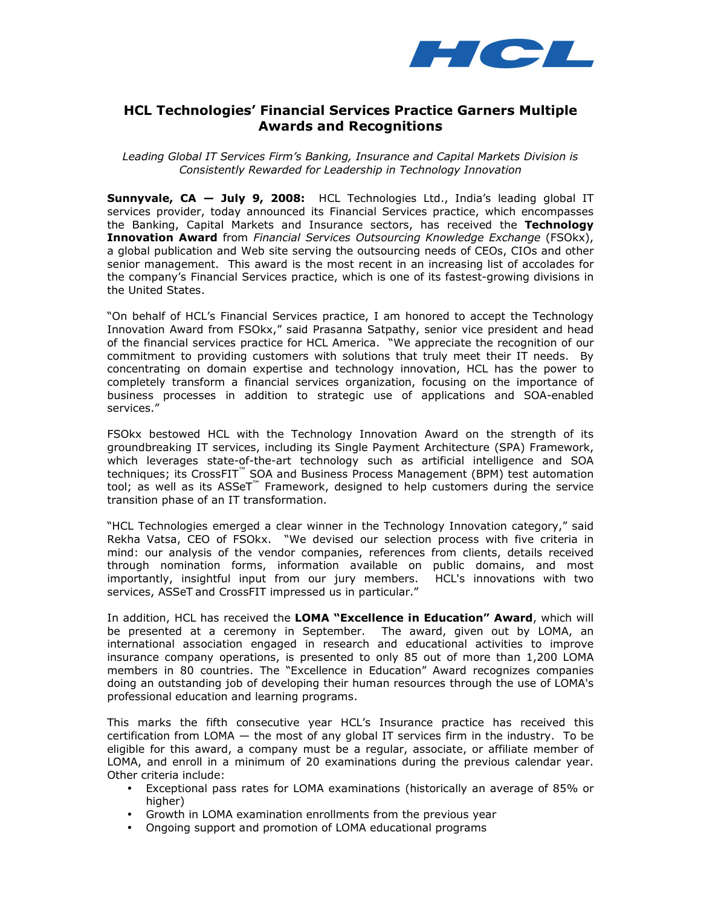

# HCL Technologies' Financial Services Practice Garners Multiple Awards and Recognitions

Leading Global IT Services Firm's Banking, Insurance and Capital Markets Division is Consistently Rewarded for Leadership in Technology Innovation

Sunnyvale, CA - July 9, 2008: HCL Technologies Ltd., India's leading global IT services provider, today announced its Financial Services practice, which encompasses the Banking, Capital Markets and Insurance sectors, has received the Technology **Innovation Award** from Financial Services Outsourcing Knowledge Exchange (FSOkx), a global publication and Web site serving the outsourcing needs of CEOs, CIOs and other senior management. This award is the most recent in an increasing list of accolades for the company's Financial Services practice, which is one of its fastest-growing divisions in the United States.

"On behalf of HCL's Financial Services practice, I am honored to accept the Technology Innovation Award from FSOkx," said Prasanna Satpathy, senior vice president and head of the financial services practice for HCL America. "We appreciate the recognition of our commitment to providing customers with solutions that truly meet their IT needs. By concentrating on domain expertise and technology innovation, HCL has the power to completely transform a financial services organization, focusing on the importance of business processes in addition to strategic use of applications and SOA-enabled services."

FSOkx bestowed HCL with the Technology Innovation Award on the strength of its groundbreaking IT services, including its Single Payment Architecture (SPA) Framework, which leverages state-of-the-art technology such as artificial intelligence and SOA techniques; its CrossFIT™ SOA and Business Process Management (BPM) test automation tool; as well as its ASSeT™ Framework, designed to help customers during the service transition phase of an IT transformation.

"HCL Technologies emerged a clear winner in the Technology Innovation category," said Rekha Vatsa, CEO of FSOkx. "We devised our selection process with five criteria in mind: our analysis of the vendor companies, references from clients, details received through nomination forms, information available on public domains, and most importantly, insightful input from our jury members. HCL's innovations with two services, ASSeT and CrossFIT impressed us in particular."

In addition, HCL has received the LOMA "Excellence in Education" Award, which will be presented at a ceremony in September. The award, given out by LOMA, an international association engaged in research and educational activities to improve insurance company operations, is presented to only 85 out of more than 1,200 LOMA members in 80 countries. The "Excellence in Education" Award recognizes companies doing an outstanding job of developing their human resources through the use of LOMA's professional education and learning programs.

This marks the fifth consecutive year HCL's Insurance practice has received this certification from LOMA — the most of any global IT services firm in the industry. To be eligible for this award, a company must be a regular, associate, or affiliate member of LOMA, and enroll in a minimum of 20 examinations during the previous calendar year. Other criteria include:

- Exceptional pass rates for LOMA examinations (historically an average of 85% or higher)
- Growth in LOMA examination enrollments from the previous year
- Ongoing support and promotion of LOMA educational programs